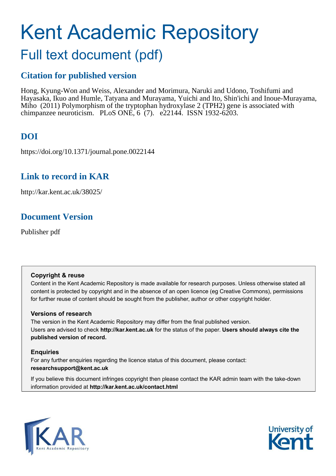# Kent Academic Repository

## Full text document (pdf)

## **Citation for published version**

Hong, Kyung-Won and Weiss, Alexander and Morimura, Naruki and Udono, Toshifumi and Hayasaka, Ikuo and Humle, Tatyana and Murayama, Yuichi and Ito, Shin'ichi and Inoue-Murayama, Miho (2011) Polymorphism of the tryptophan hydroxylase 2 (TPH2) gene is associated with chimpanzee neuroticism. PLoS ONE, 6 (7). e22144. ISSN 1932-6203.

## **DOI**

https://doi.org/10.1371/journal.pone.0022144

## **Link to record in KAR**

http://kar.kent.ac.uk/38025/

## **Document Version**

Publisher pdf

#### **Copyright & reuse**

Content in the Kent Academic Repository is made available for research purposes. Unless otherwise stated all content is protected by copyright and in the absence of an open licence (eg Creative Commons), permissions for further reuse of content should be sought from the publisher, author or other copyright holder.

#### **Versions of research**

The version in the Kent Academic Repository may differ from the final published version. Users are advised to check **http://kar.kent.ac.uk** for the status of the paper. **Users should always cite the published version of record.**

#### **Enquiries**

For any further enquiries regarding the licence status of this document, please contact: **researchsupport@kent.ac.uk**

If you believe this document infringes copyright then please contact the KAR admin team with the take-down information provided at **http://kar.kent.ac.uk/contact.html**



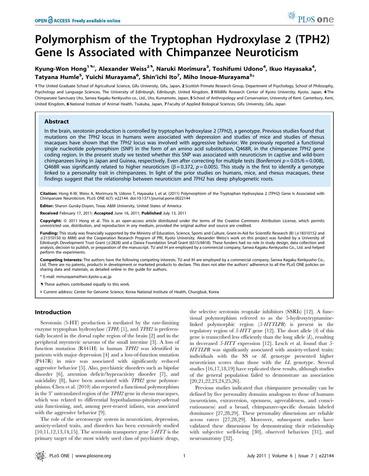## Polymorphism of the Tryptophan Hydroxylase 2 (TPH2) Gene Is Associated with Chimpanzee Neuroticism

#### Kyung-Won Hong<sup>19¤</sup>, Alexander Weiss<sup>29</sup>, Naruki Morimura<sup>3</sup>, Toshifumi Udono<sup>4</sup>, Ikuo Hayasaka<sup>4</sup>, Tatyana Humle<sup>5</sup>, Yuichi Murayama<sup>6</sup>, Shin'ichi Ito<sup>7</sup>, Miho Inoue-Murayama<sup>3</sup>\*

1 The United Graduate School of Agricultural Science, Gifu University, Gifu, Japan, 2 Scottish Primate Research Group, Department of Psychology, School of Philosophy, Psychology and Language Sciences, The University of Edinburgh, Edinburgh, United Kingdom, 3 Wildlife Research Center of Kyoto University, Kyoto, Japan, 4 The Chimpanzee Sanctuary Uto, Sanwa Kagaku Kenkyusho co., Ltd., Uto, Kumamoto, Japan, 5 School of Anthropology and Conservation, University of Kent. Canterbury, Kent, United Kingdom, 6 National Institute of Animal Health, Tsukuba, Japan, 7 Faculty of Applied Biological Sciences, Gifu University, Gifu, Japan

#### Abstract

In the brain, serotonin production is controlled by tryptophan hydroxylase 2 (TPH2), a genotype. Previous studies found that mutations on the TPH2 locus in humans were associated with depression and studies of mice and studies of rhesus macaques have shown that the TPH2 locus was involved with aggressive behavior. We previously reported a functional single nucleotide polymorphism (SNP) in the form of an amino acid substitution, Q468R, in the chimpanzee TPH2 gene coding region. In the present study we tested whether this SNP was associated with neuroticism in captive and wild-born chimpanzees living in Japan and Guinea, respectively. Even after correcting for multiple tests (Bonferroni  $p = 0.05/6 = 0.008$ ), Q468R was significantly related to higher neuroticism ( $\beta$  = 0.372,  $p$  = 0.005). This study is the first to identify a genotype linked to a personality trait in chimpanzees. In light of the prior studies on humans, mice, and rhesus macaques, these findings suggest that the relationship between neuroticism and TPH2 has deep phylogenetic roots.

Citation: Hong K-W, Weiss A, Morimura N, Udono T, Hayasaka I, et al. (2011) Polymorphism of the Tryptophan Hydroxylase 2 (TPH2) Gene Is Associated with Chimpanzee Neuroticism. PLoS ONE 6(7): e22144. doi:10.1371/journal.pone.0022144

Editor: Sharon Gursky-Doyen, Texas A&M University, United States of America

Received February 17, 2011; Accepted June 16, 2011; Published July 13, 2011

Copyright: @ 2011 Hong et al. This is an open-access article distributed under the terms of the Creative Commons Attribution License, which permits unrestricted use, distribution, and reproduction in any medium, provided the original author and source are credited.

Funding: This study was financially supported by the Ministry of Education, Science, Sports and Culture, Grant-in-Aid for Scientific Research (B) (#18310152 and #21310150 to MIM) and the Cooperation Research Program of PRI, Kyoto University. Alexander Weiss's work on this project was funded by a University of Edinburgh Development Trust Grant (#2828) and a Daiwa Foundation Small Grant (6515/6818). These funders had no role in study design, data collection and analysis, decision to publish, or preparation of the manuscript. TU and IH are employed by a commercial company, Sanwa Kagaku Kenkyusho Co., Ltd. and helped perform the experiments.

Competing Interests: The authors have the following competing interests. TU and IH are employed by a commercial company, Sanwa Kagaku Kenkyusho Co., Ltd. There are no patents, products in development or marketed products to declare. This does not alter the authors' adherence to all the PLoS ONE policies on sharing data and materials, as detailed online in the guide for authors.

\* E-mail: mmurayama@wrc.kyoto-u.ac.jp

. These authors contributed equally to this work.

¤ Current address: Center for Genome Science, Korea National Institute of Health, Chungbuk, Korea

#### Introduction

Serotonin (5-HT) production is mediated by the rate-limiting enzyme tryptophan hydroxylase (TPH) [1], and TPH2 is preferentially located in the dorsal raphe region of the brain [2] and in the peripheral myenteric neurons of the small intestine [3]. A loss of function mutation (R441H) in human TPH2 was identified in patients with major depression [4] and a loss-of-function mutation (P447R) in mice was associated with significantly reduced aggressive behavior [5]. Also, psychiatric disorders such as bipolar disorder [6], attention deficit/hyperactivity disorder [7], and suicidality [8], have been associated with TPH2 gene polymorphisms. Chen et al. (2010) also reported a functional polymorphism in the  $3'$  untranslated region of the  $TPH2$  gene in rhesus macaques, which was related to differential hypothalamus-pituitary-adrenal axis functioning, and, among peer-reared infants, was associated with the aggressive behavior [9].

The role of the serotonergic system in neuroticism, depression, anxiety-related traits, and disorders has been extensively studied  $[10,11,12,13,14,15]$ . The serotonin transporter gene 5-HTT is the primary target of the most widely used class of psychiatric drugs, the selective serotonin reuptake inhibitors (SSRIs) [12]. A functional polymorphism referred to as the 5-hydroxytryptaminelinked polymorphic region (5-HTTLPR) is present in the regulatory region of  $5-HTT$  gene [12]. The short allele (S) of this gene is transcribed less efficiently than the long allele  $(L)$ , resulting in decreased 5-HTT expression [12]. Lesch et al. found that 5- HTTLPR was significantly associated with anxiety-related traits: individuals with the SS or SL genotype presented higher neuroticism scores than those with the LL genotype. Several studies [16,17,18,19] have replicated these results, although studies of the general population failed to demonstrate an association [20,21,22,23,24,25,26].

Previous studies indicated that chimpanzee personality can be defined by five personality domains analogous to those of humans (neuroticism, extraversion, openness, agreeableness, and conscientiousness) and a broad, chimpanzee-specific domain labeled dominance [27,28,29]. These personality dimensions are reliable across raters [27,28,29]. Moreover, subsequent studies have validated these dimensions by demonstrating their relationship with subjective well-being [30], observed behaviors [31], and neuroanatomy [32].

PLoS one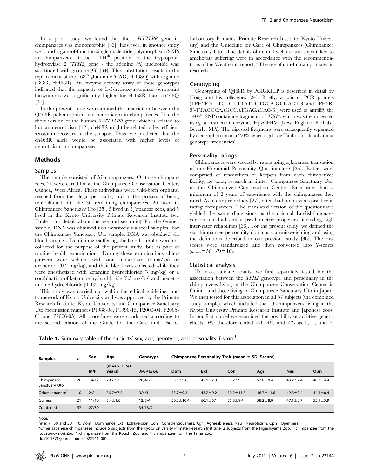In a prior study, we found that the 5-HTTLPR gene in chimpanzees was monomorphic [33]. However, in another study we found a gain-of-function single nucleotide polymorphism (SNP) in chimpanzees at the  $1,404^{\text{th}}$  position of the tryptophan hydroxylase 2 (TPH2) gene - the adenine (A) nucleotide was substituted with guanine (G) [34]. This substitution results in the replacement of the  $468<sup>th</sup>$  glutamine (CAG, ch $468Q$ ) with arginine (CGG, ch468R). An enzyme activity assay of these genotypes indicated that the capacity of L-5-hydroxytrytophan (serotonin) biosynthesis was significantly higher for ch468R than ch468Q [34].

In the present study we examined the association between the Q468R polymorphism and neuroticism in chimpanzees. Like the short version of the human 5-HTTLPR gene which is related to human neuroticism [12], ch468R might be related to less efficient serotonin recovery at the synapse. Thus, we predicted that the ch468R allele would be associated with higher levels of neuroticism in chimpanzees.

#### Methods

#### Samples

The sample consisted of 57 chimpanzees. Of these chimpanzees, 21 were cared for at the Chimpanzee Conservation Center, Guinea, West Africa. These individuals were wild-born orphans, rescued from the illegal pet trade, and in the process of being rehabilitated. Of the 36 remaining chimpanzees, 26 lived in Chimpanzee Sanctuary Uto [35], 5 lived in 3 Japanese zoos, and 5 lived in the Kyoto University Primate Research Institute (see Table 1 for details about the age and sex ratio). For the Guinea sample, DNA was obtained non-invasively via fecal samples. For the Chimpanzee Sanctuary Uto sample, DNA was obtained via blood samples. To minimize suffering, the blood samples were not collected for the purpose of the present study, but as part of routine health examinations. During these examinations chimpanzees were sedated with oral midazolam (1 mg/kg) or droperidol (0.2 mg/kg), and their blood was collected while they were anesthetized with ketamine hydrochloride (7 mg/kg) or a combination of ketamine hydrochloride (3.5 mg/kg) and medetomidine hydrochloride (0.035 mg/kg).

This study was carried out within the ethical guidelines and framework of Kyoto University and was approved by the Primate Research Institute, Kyoto University and Chimpanzee Sanctuary Uto (permission numbers P1988-08, P1990-15, P2000-04, P2005- 01 and P2006-05). All procedures were conducted according to the second edition of the Guide for the Care and Use of Laboratory Primates (Primate Research Institute, Kyoto University) and the Guideline for Care of Chimpanzees (Chimpanzee Sanctuary Uto). The details of animal welfare and steps taken to ameliorate suffering were in accordance with the recommendations of the Weatherall report, ''The use of non-human primates in research''.

#### Genotyping

Genotyping of Q468R by PCR-RFLP is described in detail by Hong and his colleagues [34]. Briefly, a pair of PCR primers (TPH2F: 5-TTCTGTTTATTCTGCA-GGGACT-3' and TPH2R: 5'-TTAGCCAAGCCATGACACAG-3') were used to amplify the  $1404<sup>th</sup>$  SNP containing fragments of *TPH2*, which was then digested using a restriction enzyme, HpyCH4V (New England BioLabs, Beverly, MA). The digested fragments were subsequently separated by electrophoresis on a 2.0% agarose gel (see Table 1 for details about genotype frequencies).

#### Personality ratings

Chimpanzees were scored by raters using a Japanese translation of the Hominoid Personality Questionnaire [36]. Raters were comprised of researchers or keepers from each chimpanzee facility, i.e. zoos, research institutes, Chimpanzee Sanctuary Uto, or the Chimpanzee Conservation Center. Each rater had a minimum of 2 years of experience with the chimpanzees they rated. As in our prior study [27], raters had no previous practice in rating chimpanzees. The translated version of the questionnaire yielded the same dimensions as the original English-language version and had similar psychometric properties, including high inter-rater reliabilities [36]. For the present study, we defined the six chimpanzee personality domains via unit-weighting and using the definitions described in our previous study [36]. The raw scores were standardized and then converted into T-scores  $mean = 50$ ;  $SD = 10$ ).

#### Statistical analysis

To cross-validate results, we first separately tested for the association between the TPH2 genotype and personality in the chimpanzees living at the Chimpanzee Conservation Center in Guinea and those living in Chimpanzee Sanctuary Uto in Japan. We then tested for this association in all 57 subjects (the combined study sample), which included the 10 chimpanzees living in the Kyoto University Primate Research Institute and Japanese zoos. In our first model we examined the possibility of additive genetic effects. We therefore coded AA, AG, and GG as 0, 1, and 2,

Table 1. Summary table of the subjects' sex, age, genotype, and personality T-score<sup>†</sup>.

| Samples                     | $\mathbf n$      | Sex   | Age                      | Genotype   | Chimpanzee Personality Trait (mean $\pm$ SD <i>T</i> -score) |                |                 |                 |                |                |  |
|-----------------------------|------------------|-------|--------------------------|------------|--------------------------------------------------------------|----------------|-----------------|-----------------|----------------|----------------|--|
|                             |                  | M/F   | (mean $\pm$ SD<br>years) | AAI AGI GG | Dom                                                          | Ext            | Con             | Agr             | <b>Neu</b>     | Opn            |  |
| Chimpanzee<br>Sanctuary Uto | 26               | 14/12 | $29.7 \pm 3.5$           | 20/4/2     | $55.5 \pm 9.6$                                               | $47.5 \pm 7.3$ | $50.2 \pm 9.5$  | $52.0 \pm 8.4$  | $43.2 \pm 7.4$ | $48.7 \pm 4.4$ |  |
| Other Japanese <sup>®</sup> | 10 <sup>10</sup> | 2/8   | $36.7 \pm 7.5$           | 3/4/3      | $55.7 \pm 9.4$                                               | $43.2 \pm 9.2$ | $50.2 \pm 11.5$ | $48.7 \pm 11.6$ | $49.8 \pm 8.4$ | $44.4 \pm 8.4$ |  |
| Guinea                      | 21               | 11/10 | $5.4 \pm 1.6$            | 12/5/4     | $50.3 \pm 10.4$                                              | $60.1 \pm 5.1$ | $55.8 + 9.4$    | $58.2 \pm 8.0$  | $47.1 \pm 8.7$ | $55.1 \pm 5.9$ |  |
| Combined                    | 57               | 27/30 |                          | 35/13/9    |                                                              |                |                 |                 |                |                |  |

Note.

 $^{\dagger}$ Mean = 50 and *SD* = 10. Dom = Dominance, Ext = Extraversion, Con = Conscientiousness, Agr = Agreeableness, Neu = Neuroticism, Opn = Openness.

\*Other Japanese chimpanzees include 5 subjects from the Kyoto University Primate Research Institute, 2 subjects from the Higashiyama Zoo, 1 chimpanzee from the Itouzu-no-mori Zoo, 1 chimpanzee from the Kouchi Zoo, and 1 chimpanzee from the Tama Zoo.

doi:10.1371/journal.pone.0022144.t001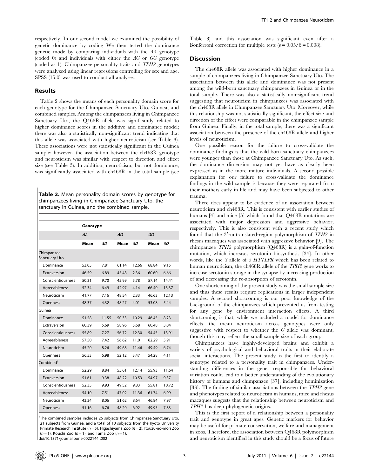respectively. In our second model we examined the possibility of genetic dominance by coding We then tested the dominance genetic mode by comparing individuals with the AA genotype (coded 0) and individuals with either the  $AG$  or  $GG$  genotype (coded as 1). Chimpanzee personality traits and TPH2 genotypes were analyzed using linear regressions controlling for sex and age. SPSS (15.0) was used to conduct all analyses.

#### Results

Table 2 shows the means of each personality domain score for each genotype for the Chimpanzee Sanctuary Uto, Guinea, and combined samples. Among the chimpanzees living in Chimpanzee Sanctuary Uto, the Q468R allele was significantly related to higher dominance scores in the additive and dominance model; there was also a statistically non-significant trend indicating that this allele was associated with higher neuroticism (see Table 3). These associations were not statistically significant in the Guinea sample; however, the association between the ch468R genotype and neuroticism was similar with respect to direction and effect size (see Table 3). In addition, neuroticism, but not dominance, was significantly associated with ch468R in the total sample (see

Table 2. Mean personality domain scores by genotype for chimpanzees living in Chimpanzee Sanctuary Uto, the sanctuary in Guinea, and the combined sample.

|                             | Genotype |       |       |       |       |       |  |  |
|-----------------------------|----------|-------|-------|-------|-------|-------|--|--|
|                             | AA       |       | AG    |       | GG    |       |  |  |
|                             | Mean     | SD    | Mean  | SD    | Mean  | SD    |  |  |
| Chimpanzee<br>Sanctuary Uto |          |       |       |       |       |       |  |  |
| Dominance                   | 53.05    | 7.81  | 61.14 | 12.66 | 68.84 | 9.15  |  |  |
| Extraversion                | 46.59    | 6.89  | 45.48 | 2.36  | 60.60 | 6.66  |  |  |
| Conscientiousness           | 50.31    | 9.70  | 45.99 | 5.78  | 57.14 | 14.41 |  |  |
| Agreeableness               | 52.34    | 6.49  | 42.97 | 4.14  | 66.40 | 13.37 |  |  |
| Neuroticism                 | 41.77    | 7.16  | 48.54 | 2.33  | 46.63 | 12.13 |  |  |
| Openness                    | 48.37    | 4.32  | 48.27 | 4.01  | 53.08 | 5.44  |  |  |
| Guinea                      |          |       |       |       |       |       |  |  |
| Dominance                   | 51.58    | 11.55 | 50.33 | 10.29 | 46.45 | 8.23  |  |  |
| Extraversion                | 60.39    | 5.69  | 58.96 | 5.68  | 60.48 | 3.04  |  |  |
| Conscientiousness           | 55.89    | 7.27  | 56.72 | 12.30 | 54.45 | 13.91 |  |  |
| Agreeableness               | 57.50    | 7.42  | 56.62 | 11.01 | 62.29 | 5.91  |  |  |
| Neuroticism                 | 45.20    | 8.26  | 49.68 | 11.46 | 49.49 | 6.74  |  |  |
| Openness                    | 56.53    | 6.98  | 52.12 | 3.47  | 54.28 | 4.11  |  |  |
| Combined <sup>†</sup>       |          |       |       |       |       |       |  |  |
| Dominance                   | 52.29    | 8.84  | 55.61 | 12.14 | 55.93 | 11.64 |  |  |
| Extraversion                | 51.61    | 9.38  | 48.22 | 10.53 | 54.97 | 9.37  |  |  |
| Conscientiousness           | 52.35    | 9.93  | 49.52 | 9.83  | 55.81 | 10.72 |  |  |
| Agreeableness               | 54.10    | 7.51  | 47.02 | 11.36 | 61.74 | 6.99  |  |  |
| Neuroticism                 | 43.34    | 8.06  | 51.62 | 8.64  | 46.84 | 7.97  |  |  |
| Openness                    | 51.16    | 6.76  | 48.20 | 6.92  | 49.95 | 7.83  |  |  |

<sup>†</sup>The combined samples includes 26 subjects from Chimpanzee Sanctuary Uto, 21 subjects from Guinea, and a total of 10 subjects from the Kyoto University Primate Research Institute ( $n = 5$ ), Higashiyama Zoo ( $n = 2$ ), Itouzu-no-mori Zoo  $(n = 1)$ , Kouchi Zoo  $(n = 1)$ , and Tama Zoo  $(n = 1)$ .

doi:10.1371/journal.pone.0022144.t002

Table 3) and this association was significant even after a Bonferroni correction for multiple tests ( $p = 0.05/6 = 0.008$ ).

#### **Discussion**

The ch468R allele was associated with higher dominance in a sample of chimpanzees living in Chimpanzee Sanctuary Uto. The association between this allele and dominance was not present among the wild-born sanctuary chimpanzees in Guinea or in the total sample. There was also a statistically non-significant trend suggesting that neuroticism in chimpanzees was associated with the ch468R allele in Chimpanzee Sanctuary Uto. Moreover, while this relationship was not statistically significant, the effect size and direction of the effect were comparable in the chimpanzee sample from Guinea. Finally, in the total sample, there was a significant association between the presence of the ch468R allele and higher levels of neuroticism.

One possible reason for the failure to cross-validate the dominance findings is that the wild-born sanctuary chimpanzees were younger than those at Chimpanzee Sanctuary Uto. As such, the dominance dimension may not yet have as clearly been expressed as in the more mature individuals. A second possible explanation for our failure to cross-validate the dominance findings in the wild sample is because they were separated from their mothers early in life and may have been subjected to other trauma.

There does appear to be evidence of an association between neuroticism and ch468R. This is consistent with earlier studies of humans [4] and mice [5] which found that Q468R mutations are associated with major depression and aggressive behavior, respectively. This is also consistent with a recent study which found that the 3'-untranslated-region polymorphism of TPH2 in rhesus macaques was associated with aggressive behavior [9]. The chimpanzee TPH2 polymorphism (Q468R) is a gain-of-function mutation, which increases serotonin biosynthesis [34]. In other words, like the S allele of 5-HTTLPR which has been related to human neuroticism, the ch468R allele of the TPH2 gene works to increase serotonin storage in the synapse by increasing production of and decreasing the re-absorption of serotonin.

One shortcoming of the present study was the small sample size and thus these results require replications in larger independent samples. A second shortcoming is our poor knowledge of the background of the chimpanzees which prevented us from testing for any gene by environment interaction effects. A third shortcoming is that, while we included a model for dominance effects, the mean neuroticism across genotypes were only suggestive with respect to whether the  $G$  allele was dominant, though this may reflect the small sample size of each group.

Chimpanzees have highly-developed brains and exhibit a variety of psychological and behavioral traits in their elaborate social interactions. The present study is the first to identify a genotype related to a personality trait in chimpanzees. Understanding differences in the genes responsible for behavioral variation could lead to a better understanding of the evolutionary history of humans and chimpanzee [37], including hominization [33]. The finding of similar associations between the *TPH2* gene and phenotypes related to neuroticism in humans, mice and rhesus macaques suggests that the relationship between neuroticism and TPH2 has deep phylogenetic origins.

This is the first report of a relationship between a personality trait and genotype in great apes. Genetic markers for behavior may be useful for primate conservation, welfare and management in zoos. Therefore, the association between Q468R polymorphism and neuroticism identified in this study should be a focus of future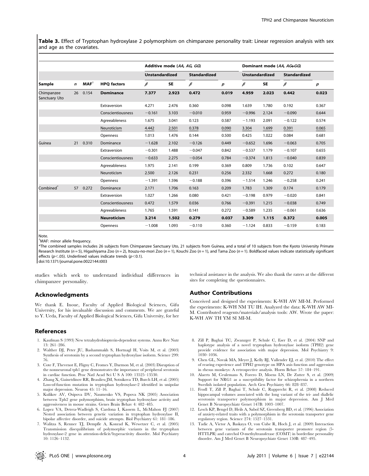Table 3. Effect of Tryptophan hydroxylase 2 polymorphism on chimpanzee personality trait: Linear regression analysis with sex and age as the covariates.

|                             |             | $MAF^{\dagger}$ | <b>HPQ</b> factors | Additive mode (AA, AG, GG) |           |                     |       | Dominant mode (AA, AG+GG) |           |                     |                  |
|-----------------------------|-------------|-----------------|--------------------|----------------------------|-----------|---------------------|-------|---------------------------|-----------|---------------------|------------------|
| Sample                      |             |                 |                    | <b>Unstandardized</b>      |           | <b>Standardized</b> |       | <b>Unstandardized</b>     |           | <b>Standardized</b> |                  |
|                             | $\mathbf n$ |                 |                    | $\beta$                    | <b>SE</b> | $\beta$             | p     | $\beta$                   | <b>SE</b> | $\beta$             | $\boldsymbol{p}$ |
| Chimpanzee<br>Sanctuary Uto | 26          | 0.154           | <b>Dominance</b>   | 7.377                      | 2.923     | 0.472               | 0.019 | 4.959                     | 2.023     | 0.442               | 0.023            |
|                             |             |                 | Extraversion       | 4.271                      | 2.476     | 0.360               | 0.098 | 1.639                     | 1.780     | 0.192               | 0.367            |
|                             |             |                 | Conscientiousness  | $-0.161$                   | 3.103     | $-0.010$            | 0.959 | $-0.996$                  | 2.124     | $-0.090$            | 0.644            |
|                             |             |                 | Agreeableness      | 1.675                      | 3.041     | 0.123               | 0.587 | $-1.193$                  | 2.091     | $-0.122$            | 0.574            |
|                             |             |                 | Neuroticism        | 4.442                      | 2.501     | 0.378               | 0.090 | 3.304                     | 1.699     | 0.391               | 0.065            |
|                             |             |                 | Openness           | 1.013                      | 1.476     | 0.144               | 0.500 | 0.425                     | 1.022     | 0.084               | 0.681            |
| Guinea                      | 21          | 0.310           | Dominance          | $-1.628$                   | 2.102     | $-0.126$            | 0.449 | $-0.652$                  | 1.696     | $-0.063$            | 0.705            |
|                             |             |                 | Extraversion       | $-0.301$                   | 1.488     | $-0.047$            | 0.842 | $-0.537$                  | 1.179     | $-0.107$            | 0.655            |
|                             |             |                 | Conscientiousness  | $-0.633$                   | 2.275     | $-0.054$            | 0.784 | $-0.374$                  | 1.813     | $-0.040$            | 0.839            |
|                             |             |                 | Agreeableness      | 1.975                      | 2.141     | 0.199               | 0.369 | 0.809                     | 1.736     | 0.102               | 0.647            |
|                             |             |                 | Neuroticism        | 2.500                      | 2.126     | 0.231               | 0.256 | 2.332                     | 1.668     | 0.272               | 0.180            |
|                             |             |                 | Openness           | $-1.391$                   | 1.596     | $-0.188$            | 0.396 | $-1.514$                  | 1.246     | $-0.258$            | 0.241            |
| Combined <sup>®</sup>       | 57          | 0.272           | Dominance          | 2.171                      | 1.706     | 0.163               | 0.209 | 1.783                     | 1.309     | 0.174               | 0.179            |
|                             |             |                 | Extraversion       | 1.027                      | 1.266     | 0.080               | 0.421 | $-0.198$                  | 0.979     | $-0.020$            | 0.841            |
|                             |             |                 | Conscientiousness  | 0.472                      | 1.579     | 0.036               | 0.766 | $-0.391$                  | 1.215     | $-0.038$            | 0.749            |
|                             |             |                 | Agreeableness      | 1.765                      | 1.591     | 0.141               | 0.272 | $-0.589$                  | 1.235     | $-0.061$            | 0.636            |
|                             |             |                 | <b>Neuroticism</b> | 3.214                      | 1.502     | 0.279               | 0.037 | 3.309                     | 1.115     | 0.372               | 0.005            |
|                             |             |                 | Openness           | $-1.008$                   | 1.093     | $-0.110$            | 0.360 | $-1.124$                  | 0.833     | $-0.159$            | 0.183            |

Note.

 $\dagger$ MAF: minor allele frequency.

\*The combined samples includes 26 subjects from Chimpanzee Sanctuary Uto, 21 subjects from Guinea, and a total of 10 subjects from the Kyoto University Primate Research Institute (n = 5), Higashiyama Zoo (n = 2), Itouzu-no-mori Zoo (n = 1), Kouchi Zoo (n = 1), and Tama Zoo (n = 1). Boldfaced values indicate statistically significant effects ( $p$ <.05). Underlined values indicate trends ( $p$ <0.1).

doi:10.1371/journal.pone.0022144.t003

studies which seek to understand individual differences in chimpanzee personality.

#### Acknowledgments

We thank E. Inoue, Faculty of Applied Biological Sciences, Gifu University, for his invaluable discussion and comments. We are grateful to Y. Ueda, Faculty of Applied Biological Sciences, Gifu University, for her

#### References

- 1. Kaufman S (1993) New tetrahydrobiopterin-dependent systems. Annu Rev Nutr 13: 261–286.
- 2. Walther DJ, Peter JU, Bashammakh S, Hortnagl H, Voits M, et al. (2003) Synthesis of serotonin by a second tryptophan hydroxylase isoform. Science 299: 76.
- 3. Cote F, Thevenot E, Fligny C, Fromes Y, Darmon M, et al. (2003) Disruption of the nonneuronal tph1 gene demonstrates the importance of peripheral serotonin in cardiac function. Proc Natl Acad Sci U S A 100: 13525–13530.
- 4. Zhang X, Gainetdinov RR, Beaulieu JM, Sotnikova TD, Burch LH, et al. (2005) Loss-of-function mutation in tryptophan hydroxylase-2 identified in unipolar major depression. Neuron 45: 11–16.
- 5. Kulikov AV, Osipova DV, Naumenko VS, Popova NK (2005) Association between Tph2 gene polymorphism, brain tryptophan hydroxylase activity and aggressiveness in mouse strains. Genes Brain Behav 4: 482–485.
- 6. Lopez VA, Detera-Wadleigh S, Cardona I, Kassem L, McMahon FJ (2007) Nested association between genetic variation in tryptophan hydroxylase II, bipolar affective disorder, and suicide attempts. Biol Psychiatry 61: 181–186.
- 7. Walitza S, Renner TJ, Dempfle A, Konrad K, Wewetzer C, et al. (2005) Transmission disequilibrium of polymorphic variants in the tryptophan hydroxylase-2 gene in attention-deficit/hyperactivity disorder. Mol Psychiatry 10: 1126–1132.

technical assistance in the analysis. We also thank the raters at the different sites for completing the questionnaires.

#### Author Contributions

Conceived and designed the experiments: K-WH AW MI-M. Performed the experiments: K-WH NM TU IH. Analyzed the data: K-WH AW MI-M. Contributed reagents/materials/analysis tools: AW. Wrote the paper: K-WH AW TH YM SI MI-M.

- 8. Zill P, Baghai TC, Zwanzger P, Schule C, Eser D, et al. (2004) SNP and haplotype analysis of a novel tryptophan hydroxylase isoform (TPH2) gene provide evidence for association with major depression. Mol Psychiatry 9: 1030–1036.
- 9. Chen GL, Novak MA, Meyer J, Kelly BJ, Vallender EJ, et al. (2010) The effect of rearing experience and TPH2 genotype on HPA axis function and aggression in rhesus monkeys: A retrospective analysis. Horm Behav 57: 184–191.
- 10. Alaerts M, Ceulemans S, Forero D, Moens LN, De Zutter S, et al. (2009) Support for NRG1 as a susceptibility factor for schizophrenia in a northern Swedish isolated population. Arch Gen Psychiatry 66: 828–837.
- 11. Frodl T, Zill P, Baghai T, Schule C, Rupprecht R, et al. (2008) Reduced hippocampal volumes associated with the long variant of the tri- and diallelic serotonin transporter polymorphism in major depression. Am J Med Genet B Neuropsychiatr Genet 147B: 1003–1007.
- 12. Lesch KP, Bengel D, Heils A, Sabol SZ, Greenberg BD, et al. (1996) Association of anxiety-related traits with a polymorphism in the serotonin transporter gene regulatory region. Science 274: 1527–1531.
- 13. Tadic A, Victor A, Baskaya O, von Cube R, Hoch J, et al. (2009) Interaction between gene variants of the serotonin transporter promoter region (5- HTTLPR) and catechol O-methyltransferase (COMT) in borderline personality disorder. Am J Med Genet B Neuropsychiatr Genet 150B: 487–495.